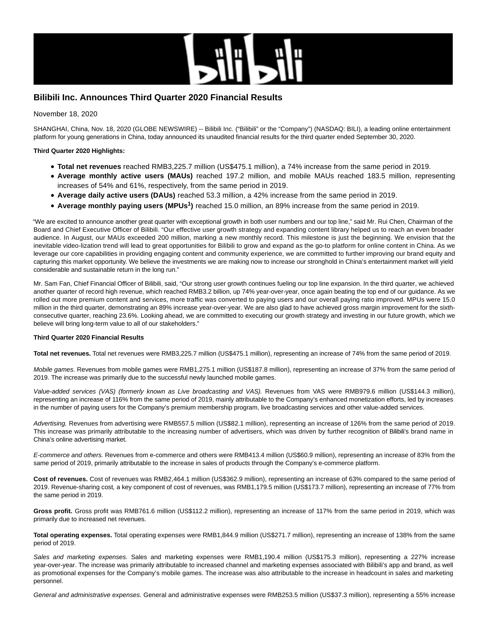

# **Bilibili Inc. Announces Third Quarter 2020 Financial Results**

November 18, 2020

SHANGHAI, China, Nov. 18, 2020 (GLOBE NEWSWIRE) -- Bilibili Inc. ("Bilibili" or the "Company") (NASDAQ: BILI), a leading online entertainment platform for young generations in China, today announced its unaudited financial results for the third quarter ended September 30, 2020.

### **Third Quarter 2020 Highlights:**

- **Total net revenues** reached RMB3,225.7 million (US\$475.1 million), a 74% increase from the same period in 2019.
- **Average monthly active users (MAUs)** reached 197.2 million, and mobile MAUs reached 183.5 million, representing increases of 54% and 61%, respectively, from the same period in 2019.
- **Average daily active users (DAUs)** reached 53.3 million, a 42% increase from the same period in 2019.
- **Average monthly paying users (MPUs<sup>1</sup> )** reached 15.0 million, an 89% increase from the same period in 2019.

"We are excited to announce another great quarter with exceptional growth in both user numbers and our top line," said Mr. Rui Chen, Chairman of the Board and Chief Executive Officer of Bilibili. "Our effective user growth strategy and expanding content library helped us to reach an even broader audience. In August, our MAUs exceeded 200 million, marking a new monthly record. This milestone is just the beginning. We envision that the inevitable video-lization trend will lead to great opportunities for Bilibili to grow and expand as the go-to platform for online content in China. As we leverage our core capabilities in providing engaging content and community experience, we are committed to further improving our brand equity and capturing this market opportunity. We believe the investments we are making now to increase our stronghold in China's entertainment market will yield considerable and sustainable return in the long run."

Mr. Sam Fan, Chief Financial Officer of Bilibili, said, "Our strong user growth continues fueling our top line expansion. In the third quarter, we achieved another quarter of record high revenue, which reached RMB3.2 billion, up 74% year-over-year, once again beating the top end of our guidance. As we rolled out more premium content and services, more traffic was converted to paying users and our overall paying ratio improved. MPUs were 15.0 million in the third quarter, demonstrating an 89% increase year-over-year. We are also glad to have achieved gross margin improvement for the sixthconsecutive quarter, reaching 23.6%. Looking ahead, we are committed to executing our growth strategy and investing in our future growth, which we believe will bring long-term value to all of our stakeholders."

### **Third Quarter 2020 Financial Results**

**Total net revenues.** Total net revenues were RMB3,225.7 million (US\$475.1 million), representing an increase of 74% from the same period of 2019.

Mobile games. Revenues from mobile games were RMB1,275.1 million (US\$187.8 million), representing an increase of 37% from the same period of 2019. The increase was primarily due to the successful newly launched mobile games.

Value-added services (VAS) (formerly known as Live broadcasting and VAS). Revenues from VAS were RMB979.6 million (US\$144.3 million), representing an increase of 116% from the same period of 2019, mainly attributable to the Company's enhanced monetization efforts, led by increases in the number of paying users for the Company's premium membership program, live broadcasting services and other value-added services.

Advertising. Revenues from advertising were RMB557.5 million (US\$82.1 million), representing an increase of 126% from the same period of 2019. This increase was primarily attributable to the increasing number of advertisers, which was driven by further recognition of Bilibili's brand name in China's online advertising market.

E-commerce and others. Revenues from e-commerce and others were RMB413.4 million (US\$60.9 million), representing an increase of 83% from the same period of 2019, primarily attributable to the increase in sales of products through the Company's e-commerce platform.

**Cost of revenues.** Cost of revenues was RMB2,464.1 million (US\$362.9 million), representing an increase of 63% compared to the same period of 2019. Revenue-sharing cost, a key component of cost of revenues, was RMB1,179.5 million (US\$173.7 million), representing an increase of 77% from the same period in 2019.

**Gross profit.** Gross profit was RMB761.6 million (US\$112.2 million), representing an increase of 117% from the same period in 2019, which was primarily due to increased net revenues.

**Total operating expenses.** Total operating expenses were RMB1,844.9 million (US\$271.7 million), representing an increase of 138% from the same period of 2019.

Sales and marketing expenses. Sales and marketing expenses were RMB1,190.4 million (US\$175.3 million), representing a 227% increase year-over-year. The increase was primarily attributable to increased channel and marketing expenses associated with Bilibili's app and brand, as well as promotional expenses for the Company's mobile games. The increase was also attributable to the increase in headcount in sales and marketing personnel.

General and administrative expenses. General and administrative expenses were RMB253.5 million (US\$37.3 million), representing a 55% increase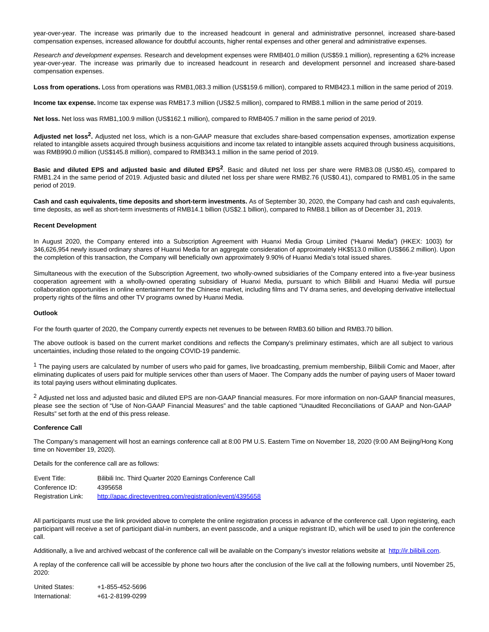year-over-year. The increase was primarily due to the increased headcount in general and administrative personnel, increased share-based compensation expenses, increased allowance for doubtful accounts, higher rental expenses and other general and administrative expenses.

Research and development expenses. Research and development expenses were RMB401.0 million (US\$59.1 million), representing a 62% increase year-over-year. The increase was primarily due to increased headcount in research and development personnel and increased share-based compensation expenses.

**Loss from operations.** Loss from operations was RMB1,083.3 million (US\$159.6 million), compared to RMB423.1 million in the same period of 2019.

**Income tax expense.** Income tax expense was RMB17.3 million (US\$2.5 million), compared to RMB8.1 million in the same period of 2019.

**Net loss.** Net loss was RMB1,100.9 million (US\$162.1 million), compared to RMB405.7 million in the same period of 2019.

**Adjusted net loss2.** Adjusted net loss, which is a non-GAAP measure that excludes share-based compensation expenses, amortization expense related to intangible assets acquired through business acquisitions and income tax related to intangible assets acquired through business acquisitions, was RMB990.0 million (US\$145.8 million), compared to RMB343.1 million in the same period of 2019.

**Basic and diluted EPS and adjusted basic and diluted EPS2**. Basic and diluted net loss per share were RMB3.08 (US\$0.45), compared to RMB1.24 in the same period of 2019. Adjusted basic and diluted net loss per share were RMB2.76 (US\$0.41), compared to RMB1.05 in the same period of 2019.

**Cash and cash equivalents, time deposits and short-term investments.** As of September 30, 2020, the Company had cash and cash equivalents, time deposits, as well as short-term investments of RMB14.1 billion (US\$2.1 billion), compared to RMB8.1 billion as of December 31, 2019.

### **Recent Development**

In August 2020, the Company entered into a Subscription Agreement with Huanxi Media Group Limited ("Huanxi Media") (HKEX: 1003) for 346,626,954 newly issued ordinary shares of Huanxi Media for an aggregate consideration of approximately HK\$513.0 million (US\$66.2 million). Upon the completion of this transaction, the Company will beneficially own approximately 9.90% of Huanxi Media's total issued shares.

Simultaneous with the execution of the Subscription Agreement, two wholly-owned subsidiaries of the Company entered into a five-year business cooperation agreement with a wholly-owned operating subsidiary of Huanxi Media, pursuant to which Bilibili and Huanxi Media will pursue collaboration opportunities in online entertainment for the Chinese market, including films and TV drama series, and developing derivative intellectual property rights of the films and other TV programs owned by Huanxi Media.

#### **Outlook**

For the fourth quarter of 2020, the Company currently expects net revenues to be between RMB3.60 billion and RMB3.70 billion.

The above outlook is based on the current market conditions and reflects the Company's preliminary estimates, which are all subject to various uncertainties, including those related to the ongoing COVID-19 pandemic.

 $1$  The paying users are calculated by number of users who paid for games, live broadcasting, premium membership, Bilibili Comic and Maoer, after eliminating duplicates of users paid for multiple services other than users of Maoer. The Company adds the number of paying users of Maoer toward its total paying users without eliminating duplicates.

<sup>2</sup> Adjusted net loss and adjusted basic and diluted EPS are non-GAAP financial measures. For more information on non-GAAP financial measures, please see the section of "Use of Non-GAAP Financial Measures" and the table captioned "Unaudited Reconciliations of GAAP and Non-GAAP Results" set forth at the end of this press release.

### **Conference Call**

The Company's management will host an earnings conference call at 8:00 PM U.S. Eastern Time on November 18, 2020 (9:00 AM Beijing/Hong Kong time on November 19, 2020).

Details for the conference call are as follows:

| Event Title:              | Bilibili Inc. Third Quarter 2020 Earnings Conference Call |
|---------------------------|-----------------------------------------------------------|
| Conference ID:            | 4395658                                                   |
| <b>Registration Link:</b> | http://apac.directeventreg.com/registration/event/4395658 |

All participants must use the link provided above to complete the online registration process in advance of the conference call. Upon registering, each participant will receive a set of participant dial-in numbers, an event passcode, and a unique registrant ID, which will be used to join the conference call.

Additionally, a live and archived webcast of the conference call will be available on the Company's investor relations website at [http://ir.bilibili.com.](https://www.globenewswire.com/Tracker?data=HiK9nL9AnjcE64bt5Zo3xjTSBxHGjcGWd_pO9iuPPDgEenlGBs1SryVZT8BrBAkDNvUFUe25WQZ2cghuIBTUVP6UFjvr3AISemeaSkH287c=)

A replay of the conference call will be accessible by phone two hours after the conclusion of the live call at the following numbers, until November 25, 2020:

United States: +1-855-452-5696 International: +61-2-8199-0299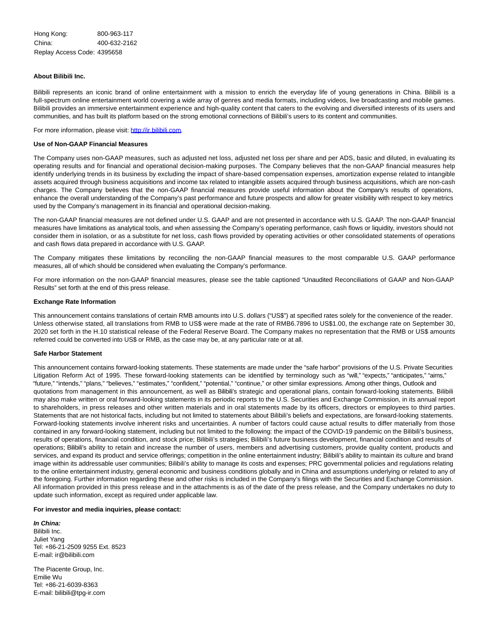Hong Kong: 800-963-117 China: 400-632-2162 Replay Access Code: 4395658

### **About Bilibili Inc.**

Bilibili represents an iconic brand of online entertainment with a mission to enrich the everyday life of young generations in China. Bilibili is a full-spectrum online entertainment world covering a wide array of genres and media formats, including videos, live broadcasting and mobile games. Bilibili provides an immersive entertainment experience and high-quality content that caters to the evolving and diversified interests of its users and communities, and has built its platform based on the strong emotional connections of Bilibili's users to its content and communities.

For more information, please visit: [http://ir.bilibili.com.](https://www.globenewswire.com/Tracker?data=HiK9nL9AnjcE64bt5Zo3xjTSBxHGjcGWd_pO9iuPPDieNAZ_d_PkrJUqqN5XAniBU_DUw8F2YiNqx4bQ0uwRxj0Ldu1ssyIDVzhESnvbitM=)

#### **Use of Non-GAAP Financial Measures**

The Company uses non-GAAP measures, such as adjusted net loss, adjusted net loss per share and per ADS, basic and diluted, in evaluating its operating results and for financial and operational decision-making purposes. The Company believes that the non-GAAP financial measures help identify underlying trends in its business by excluding the impact of share-based compensation expenses, amortization expense related to intangible assets acquired through business acquisitions and income tax related to intangible assets acquired through business acquisitions, which are non-cash charges. The Company believes that the non-GAAP financial measures provide useful information about the Company's results of operations, enhance the overall understanding of the Company's past performance and future prospects and allow for greater visibility with respect to key metrics used by the Company's management in its financial and operational decision-making.

The non-GAAP financial measures are not defined under U.S. GAAP and are not presented in accordance with U.S. GAAP. The non-GAAP financial measures have limitations as analytical tools, and when assessing the Company's operating performance, cash flows or liquidity, investors should not consider them in isolation, or as a substitute for net loss, cash flows provided by operating activities or other consolidated statements of operations and cash flows data prepared in accordance with U.S. GAAP.

The Company mitigates these limitations by reconciling the non-GAAP financial measures to the most comparable U.S. GAAP performance measures, all of which should be considered when evaluating the Company's performance.

For more information on the non-GAAP financial measures, please see the table captioned "Unaudited Reconciliations of GAAP and Non-GAAP Results" set forth at the end of this press release.

#### **Exchange Rate Information**

This announcement contains translations of certain RMB amounts into U.S. dollars ("US\$") at specified rates solely for the convenience of the reader. Unless otherwise stated, all translations from RMB to US\$ were made at the rate of RMB6.7896 to US\$1.00, the exchange rate on September 30, 2020 set forth in the H.10 statistical release of the Federal Reserve Board. The Company makes no representation that the RMB or US\$ amounts referred could be converted into US\$ or RMB, as the case may be, at any particular rate or at all.

### **Safe Harbor Statement**

This announcement contains forward-looking statements. These statements are made under the "safe harbor" provisions of the U.S. Private Securities Litigation Reform Act of 1995. These forward-looking statements can be identified by terminology such as "will," "expects," "anticipates," "aims," "future," "intends," "plans," "believes," "estimates," "confident," "potential," "continue," or other similar expressions. Among other things, Outlook and quotations from management in this announcement, as well as Bilibili's strategic and operational plans, contain forward-looking statements. Bilibili may also make written or oral forward-looking statements in its periodic reports to the U.S. Securities and Exchange Commission, in its annual report to shareholders, in press releases and other written materials and in oral statements made by its officers, directors or employees to third parties. Statements that are not historical facts, including but not limited to statements about Bilibili's beliefs and expectations, are forward-looking statements. Forward-looking statements involve inherent risks and uncertainties. A number of factors could cause actual results to differ materially from those contained in any forward-looking statement, including but not limited to the following: the impact of the COVID-19 pandemic on the Bilibili's business, results of operations, financial condition, and stock price; Bilibili's strategies; Bilibili's future business development, financial condition and results of operations; Bilibili's ability to retain and increase the number of users, members and advertising customers, provide quality content, products and services, and expand its product and service offerings; competition in the online entertainment industry; Bilibili's ability to maintain its culture and brand image within its addressable user communities; Bilibili's ability to manage its costs and expenses; PRC governmental policies and regulations relating to the online entertainment industry, general economic and business conditions globally and in China and assumptions underlying or related to any of the foregoing. Further information regarding these and other risks is included in the Company's filings with the Securities and Exchange Commission. All information provided in this press release and in the attachments is as of the date of the press release, and the Company undertakes no duty to update such information, except as required under applicable law.

### **For investor and media inquiries, please contact:**

**In China:** Bilibili Inc. Juliet Yang Tel: +86-21-2509 9255 Ext. 8523 E-mail: ir@bilibili.com

The Piacente Group, Inc. Emilie Wu Tel: +86-21-6039-8363 E-mail: bilibili@tpg-ir.com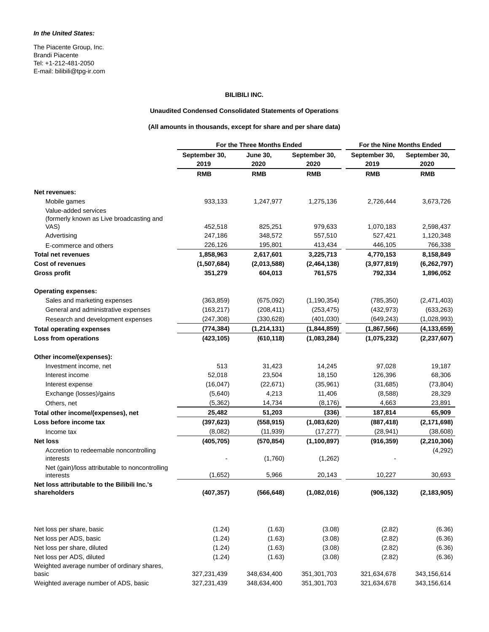The Piacente Group, Inc. Brandi Piacente Tel: +1-212-481-2050 E-mail: bilibili@tpg-ir.com

## **BILIBILI INC.**

**Unaudited Condensed Consolidated Statements of Operations**

**(All amounts in thousands, except for share and per share data)**

|                                                      | For the Three Months Ended |                 | For the Nine Months Ended |               |               |
|------------------------------------------------------|----------------------------|-----------------|---------------------------|---------------|---------------|
|                                                      | September 30,              | <b>June 30,</b> | September 30,             | September 30, | September 30, |
|                                                      | 2019                       | 2020            | 2020                      | 2019          | 2020          |
|                                                      | <b>RMB</b>                 | <b>RMB</b>      | <b>RMB</b>                | <b>RMB</b>    | <b>RMB</b>    |
| Net revenues:                                        |                            |                 |                           |               |               |
| Mobile games                                         | 933,133                    | 1,247,977       | 1,275,136                 | 2,726,444     | 3,673,726     |
| Value-added services                                 |                            |                 |                           |               |               |
| (formerly known as Live broadcasting and             |                            |                 |                           |               |               |
| VAS)                                                 | 452,518                    | 825,251         | 979,633                   | 1,070,183     | 2,598,437     |
| Advertising                                          | 247,186                    | 348,572         | 557,510                   | 527,421       | 1,120,348     |
| E-commerce and others                                | 226,126                    | 195,801         | 413,434                   | 446,105       | 766,338       |
| <b>Total net revenues</b>                            | 1,858,963                  | 2,617,601       | 3,225,713                 | 4,770,153     | 8,158,849     |
| Cost of revenues                                     | (1,507,684)                | (2,013,588)     | (2,464,138)               | (3,977,819)   | (6, 262, 797) |
| Gross profit                                         | 351,279                    | 604,013         | 761,575                   | 792,334       | 1,896,052     |
| <b>Operating expenses:</b>                           |                            |                 |                           |               |               |
| Sales and marketing expenses                         | (363, 859)                 | (675,092)       | (1, 190, 354)             | (785, 350)    | (2,471,403)   |
| General and administrative expenses                  | (163, 217)                 | (208, 411)      | (253, 475)                | (432, 973)    | (633, 263)    |
| Research and development expenses                    | (247, 308)                 | (330, 628)      | (401, 030)                | (649, 243)    | (1,028,993)   |
| <b>Total operating expenses</b>                      | (774, 384)                 | (1, 214, 131)   | (1,844,859)               | (1,867,566)   | (4, 133, 659) |
| Loss from operations                                 | (423, 105)                 | (610, 118)      | (1,083,284)               | (1,075,232)   | (2, 237, 607) |
| Other income/(expenses):                             |                            |                 |                           |               |               |
| Investment income, net                               | 513                        | 31,423          | 14,245                    | 97,028        | 19,187        |
| Interest income                                      | 52,018                     | 23,504          | 18,150                    | 126,396       | 68,306        |
| Interest expense                                     | (16, 047)                  | (22, 671)       | (35,961)                  | (31,685)      | (73, 804)     |
| Exchange (losses)/gains                              | (5,640)                    | 4,213           | 11,406                    | (8,588)       | 28,329        |
| Others, net                                          | (5, 362)                   | 14,734          | (8, 176)                  | 4,663         | 23,891        |
| Total other income/(expenses), net                   | 25,482                     | 51,203          | (336)                     | 187,814       | 65,909        |
| Loss before income tax                               | (397, 623)                 | (558, 915)      | (1,083,620)               | (887, 418)    | (2, 171, 698) |
| Income tax                                           | (8,082)                    | (11, 939)       | (17, 277)                 | (28, 941)     | (38, 608)     |
| <b>Net loss</b>                                      | (405, 705)                 | (570, 854)      | (1,100,897)               | (916, 359)    | (2, 210, 306) |
| Accretion to redeemable noncontrolling               |                            |                 |                           |               | (4,292)       |
| interests                                            |                            | (1,760)         | (1,262)                   |               |               |
| Net (gain)/loss attributable to noncontrolling       |                            |                 |                           |               |               |
| interests                                            | (1,652)                    | 5,966           | 20,143                    | 10,227        | 30,693        |
| Net loss attributable to the Bilibili Inc.'s         |                            |                 |                           |               |               |
| shareholders                                         | (407, 357)                 | (566, 648)      | (1,082,016)               | (906, 132)    | (2, 183, 905) |
|                                                      |                            |                 |                           |               |               |
| Net loss per share, basic                            | (1.24)                     | (1.63)          | (3.08)                    | (2.82)        | (6.36)        |
| Net loss per ADS, basic                              | (1.24)                     | (1.63)          | (3.08)                    | (2.82)        | (6.36)        |
| Net loss per share, diluted                          | (1.24)                     | (1.63)          | (3.08)                    | (2.82)        | (6.36)        |
| Net loss per ADS, diluted                            | (1.24)                     | (1.63)          | (3.08)                    | (2.82)        | (6.36)        |
| Weighted average number of ordinary shares,<br>basic | 327,231,439                | 348,634,400     | 351,301,703               | 321,634,678   | 343,156,614   |
| Weighted average number of ADS, basic                | 327,231,439                | 348,634,400     | 351,301,703               | 321,634,678   | 343,156,614   |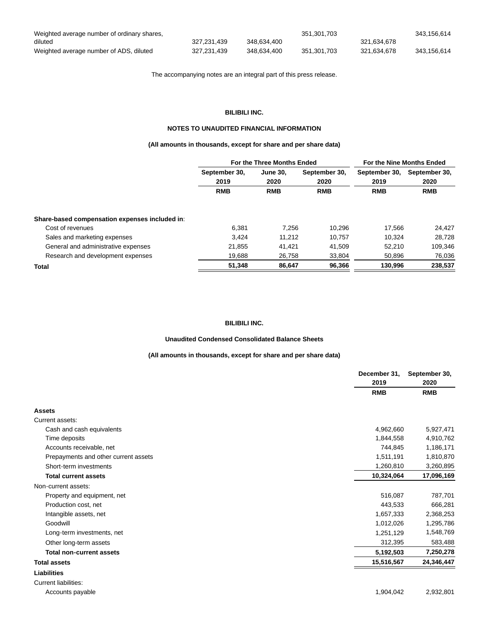| Weighted average number of ordinary shares, |             |             | 351.301.703 |             | 343.156.614 |
|---------------------------------------------|-------------|-------------|-------------|-------------|-------------|
| diluted                                     | 327.231.439 | 348.634.400 |             | 321.634.678 |             |
| Weighted average number of ADS, diluted     | 327.231.439 | 348.634.400 | 351.301.703 | 321.634.678 | 343.156.614 |

The accompanying notes are an integral part of this press release.

## **BILIBILI INC.**

## **NOTES TO UNAUDITED FINANCIAL INFORMATION**

## **(All amounts in thousands, except for share and per share data)**

|                                                | For the Three Months Ended          |                          |               | For the Nine Months Ended |                       |
|------------------------------------------------|-------------------------------------|--------------------------|---------------|---------------------------|-----------------------|
|                                                | September 30,<br>2019<br><b>RMB</b> | <b>June 30.</b><br>2020  | September 30, | September 30,<br>2019     | September 30,<br>2020 |
|                                                |                                     |                          | 2020          |                           |                       |
|                                                |                                     | <b>RMB</b><br><b>RMB</b> |               | <b>RMB</b>                | <b>RMB</b>            |
| Share-based compensation expenses included in: |                                     |                          |               |                           |                       |
| Cost of revenues                               | 6.381                               | 7.256                    | 10.296        | 17.566                    | 24.427                |
| Sales and marketing expenses                   | 3.424                               | 11.212                   | 10.757        | 10.324                    | 28.728                |
| General and administrative expenses            | 21.855                              | 41.421                   | 41.509        | 52.210                    | 109,346               |
| Research and development expenses              | 19.688                              | 26.758                   | 33.804        | 50.896                    | 76,036                |
| <b>Total</b>                                   | 51.348                              | 86.647                   | 96.366        | 130.996                   | 238.537               |

## **BILIBILI INC.**

### **Unaudited Condensed Consolidated Balance Sheets**

**(All amounts in thousands, except for share and per share data)**

|                                      | December 31,<br>2019 | September 30,<br>2020 |
|--------------------------------------|----------------------|-----------------------|
|                                      | <b>RMB</b>           | <b>RMB</b>            |
| <b>Assets</b>                        |                      |                       |
| Current assets:                      |                      |                       |
| Cash and cash equivalents            | 4,962,660            | 5,927,471             |
| Time deposits                        | 1,844,558            | 4,910,762             |
| Accounts receivable, net             | 744,845              | 1,186,171             |
| Prepayments and other current assets | 1,511,191            | 1,810,870             |
| Short-term investments               | 1,260,810            | 3,260,895             |
| <b>Total current assets</b>          | 10,324,064           | 17,096,169            |
| Non-current assets:                  |                      |                       |
| Property and equipment, net          | 516,087              | 787,701               |
| Production cost, net                 | 443,533              | 666,281               |
| Intangible assets, net               | 1,657,333            | 2,368,253             |
| Goodwill                             | 1,012,026            | 1,295,786             |
| Long-term investments, net           | 1,251,129            | 1,548,769             |
| Other long-term assets               | 312,395              | 583,488               |
| <b>Total non-current assets</b>      | 5,192,503            | 7,250,278             |
| <b>Total assets</b>                  | 15,516,567           | 24,346,447            |
| <b>Liabilities</b>                   |                      |                       |
| Current liabilities:                 |                      |                       |
| Accounts payable                     | 1,904,042            | 2,932,801             |